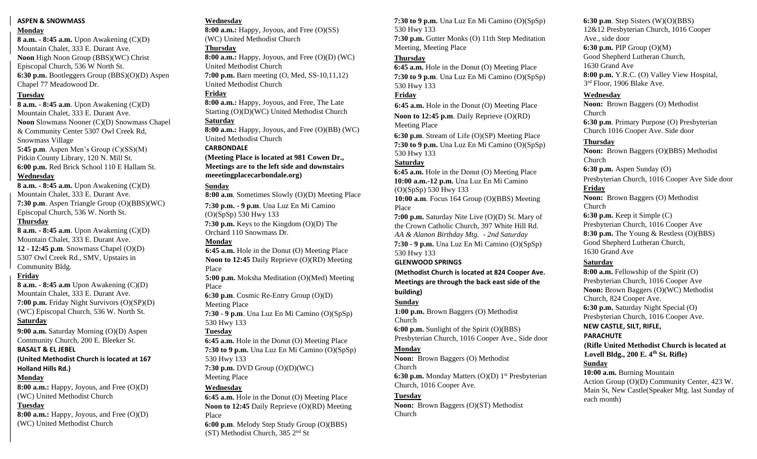# **ASPEN & SNOWMASS**

## **Monday**

**8 a.m. - 8:45 a.m.** Upon Awakening (C)(D) Mountain Chalet, 333 E. Durant Ave. **Noon** High Noon Group (BBS)(WC) Christ Episcopal Church, 536 W North St. **6:30 p.m.** Bootleggers Group (BBS)(O)(D) Aspen Chapel 77 Meadowood Dr.

# **Tuesday**

**8 a.m. - 8:45 a.m**. Upon Awakening (C)(D) Mountain Chalet, 333 E. Durant Ave. **Noon** Slowmass Nooner (C)(D) Snowmass Chapel & Community Center 5307 Owl Creek Rd, Snowmass Village **5:45 p.m**. Aspen Men's Group (C)(SS)(M) Pitkin County Library, 120 N. Mill St. **6:00 p.m.** Red Brick School 110 E Hallam St. **Wednesday**

**8 a.m. - 8:45 a.m.** Upon Awakening (C)(D) Mountain Chalet, 333 E. Durant Ave. **7:30 p.m**. Aspen Triangle Group (O)(BBS)(WC) Episcopal Church, 536 W. North St.

# **Thursday**

**8 a.m. - 8:45 a.m**. Upon Awakening (C)(D) Mountain Chalet, 333 E. Durant Ave. **12 - 12:45 p.m**. Snowmass Chapel (O)(D) 5307 Owl Creek Rd., SMV, Upstairs in Community Bldg.

# **Friday**

**8 a.m. - 8:45 a.m** Upon Awakening (C)(D) Mountain Chalet, 333 E. Durant Ave. **7:00 p.m.** Friday Night Survivors (O)(SP)(D) (WC) Episcopal Church, 536 W. North St. **Saturday**

**9:00 a.m.** Saturday Morning (O)(D) Aspen Community Church, 200 E. Bleeker St.

#### **BASALT & EL JEBEL**

**(United Methodist Church is located at 167 Holland Hills Rd.)**

# **Monday**

**8:00 a.m.:** Happy, Joyous, and Free (O)(D) (WC) United Methodist Church

# **Tuesday**

**8:00 a.m.:** Happy, Joyous, and Free (O)(D) (WC) United Methodist Church

# **Wednesday**

**8:00 a.m.:** Happy, Joyous, and Free (O)(SS) (WC) United Methodist Church

# **Thursday**

**8:00 a.m.:** Happy, Joyous, and Free (O)(D) (WC) United Methodist Church **7:00 p.m.** Barn meeting (O, Med, SS-10,11,12)

United Methodist Church

# **Friday**

**8:00 a.m.:** Happy, Joyous, and Free, The Late Starting (O)(D)(WC) United Methodist Church

# **Saturday**

**8:00 a.m.:** Happy, Joyous, and Free (O)(BB) (WC) United Methodist Church

#### **CARBONDALE**

**(Meeting Place is located at 981 Cowen Dr., Meetings are to the left side and downstairs meeetingplacecarbondale.org)** 

#### **Sunday**

**8:00 a.m**. Sometimes Slowly (O)(D) Meeting Place

**7:30 p.m. - 9 p.m**. Una Luz En Mi Camino (O)(SpSp) 530 Hwy 133 **7:30 p.m.** Keys to the Kingdom (O)(D) The Orchard 110 Snowmass Dr.

#### **Monday**

**6:45 a.m.** Hole in the Donut (O) Meeting Place **Noon to 12:45** Daily Reprieve (O)(RD) Meeting Place

**5:00 p.m.** Moksha Meditation (O)(Med) Meeting Place

**6:30 p.m**. Cosmic Re-Entry Group (O)(D) Meeting Place

**7:30 - 9 p.m**. Una Luz En Mi Camino (O)(SpSp) 530 Hwy 133

## **Tuesday**

**6:45 a.m.** Hole in the Donut (O) Meeting Place **7:30 to 9 p.m.** Una Luz En Mi Camino (O)(SpSp) 530 Hwy 133 **7:30 p.m.** DVD Group (O)(D)(WC) Meeting Place

#### **Wednesday**

**6:45 a.m.** Hole in the Donut (O) Meeting Place **Noon to 12:45** Daily Reprieve (O)(RD) Meeting Place

**6:00 p.m**. Melody Step Study Group (O)(BBS) (ST) Methodist Church, 385  $2<sup>nd</sup>$  St

**7:30 to 9 p.m.** Una Luz En Mi Camino (O)(SpSp) 530 Hwy 133 **7:30 p.m.** Gutter Monks (O) 11th Step Meditation Meeting, Meeting Place

## **Thursday**

**6:45 a.m.** Hole in the Donut (O) Meeting Place **7:30 to 9 p.m**. Una Luz En Mi Camino (O)(SpSp) 530 Hwy 133

# **Friday**

**6:45 a.m.** Hole in the Donut (O) Meeting Place

**Noon to 12:45 p.m**. Daily Reprieve (O)(RD) Meeting Place

**6:30 p.m**. Stream of Life (O)(SP) Meeting Place **7:30 to 9 p.m.** Una Luz En Mi Camino (O)(SpSp) 530 Hwy 133

## **Saturday**

**6:45 a.m.** Hole in the Donut (O) Meeting Place **10:00 a.m.-12 p.m.** Una Luz En Mi Camino (O)(SpSp) 530 Hwy 133

**10:00 a.m**. Focus 164 Group (O)(BBS) Meeting Place

**7:00 p.m.** Saturday Nite Live (O)(D) St. Mary of the Crown Catholic Church, 397 White Hill Rd. *AA & Alanon Birthday Mtg. - 2nd Saturday* **7:30 - 9 p.m.** Una Luz En Mi Camino (O)(SpSp) 530 Hwy 133

## **GLENWOOD SPRINGS**

**(Methodist Church is located at 824 Cooper Ave. Meetings are through the back east side of the building)**

#### **Sunday**

**1:00 p.m.** Brown Baggers (O) Methodist Church

**6:00 p.m.** Sunlight of the Spirit (O)(BBS) Presbyterian Church, 1016 Cooper Ave., Side door

## **Monday**

**Noon:** Brown Baggers (O) Methodist Church **6:30 p.m.** Monday Matters (O)(D) 1<sup>st</sup> Presbyterian Church, 1016 Cooper Ave.

#### **Tuesday**

**Noon:** Brown Baggers (O)(ST) Methodist Church

**6:30 p.m**. Step Sisters (W)(O)(BBS) 12&12 Presbyterian Church, 1016 Cooper Ave., side door **6:30 p.m.** PIP Group (O)(M) Good Shepherd Lutheran Church, 1630 Grand Ave **8:00 p.m.** Y.R.C. (O) Valley View Hospital, 3 rd Floor, 1906 Blake Ave.

## **Wednesday**

**Noon:** Brown Baggers (O) Methodist Church **6:30 p.m**. Primary Purpose (O) Presbyterian Church 1016 Cooper Ave. Side door

#### **Thursday**

**Noon:** Brown Baggers (O)(BBS) Methodist Church

**6:30 p.m.** Aspen Sunday (O) Presbyterian Church, 1016 Cooper Ave Side door

# **Friday**

**Noon:** Brown Baggers (O) Methodist Church

**6:30 p.m.** Keep it Simple (C) Presbyterian Church, 1016 Cooper Ave **8:30 p.m.** The Young & Restless (O)(BBS) Good Shepherd Lutheran Church, 1630 Grand Ave

# **Saturday**

**8:00 a.m.** Fellowship of the Spirit (O) Presbyterian Church, 1016 Cooper Ave **Noon:** Brown Baggers (O)(WC) Methodist Church, 824 Cooper Ave. **6:30 p.m.** Saturday Night Special (O) Presbyterian Church, 1016 Cooper Ave. **NEW CASTLE, SILT, RIFLE, PARACHUTE**

**(Rifle United Methodist Church is located at Lovell Bldg., 200 E. 4th St. Rifle)** 

# **Sunday**

**10:00 a.m.** Burning Mountain Action Group (O)(D) Community Center, 423 W. Main St, New Castle(Speaker Mtg. last Sunday of each month)